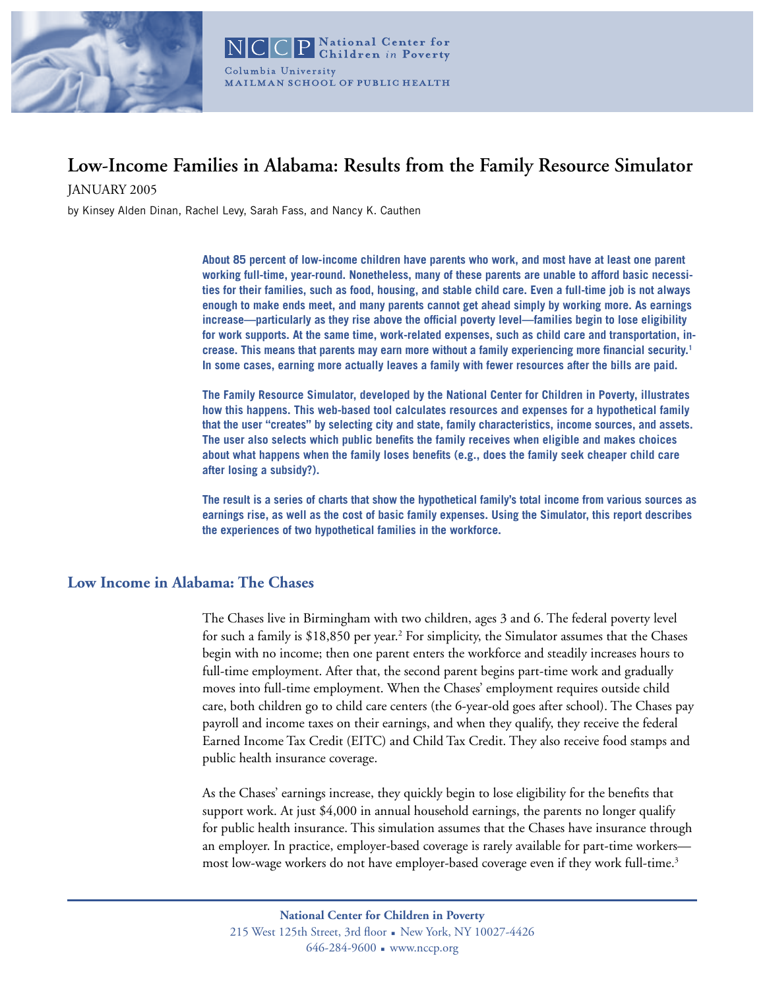

# **Low-Income Families in Alabama: Results from the Family Resource Simulator**

JANUARY 2005

by Kinsey Alden Dinan, Rachel Levy, Sarah Fass, and Nancy K. Cauthen

**About 85 percent of low-income children have parents who work, and most have at least one parent working full-time, year-round. Nonetheless, many of these parents are unable to afford basic necessities for their families, such as food, housing, and stable child care. Even a full-time job is not always enough to make ends meet, and many parents cannot get ahead simply by working more. As earnings increase—particularly as they rise above the official poverty level—families begin to lose eligibility for work supports. At the same time, work-related expenses, such as child care and transportation, increase. This means that parents may earn more without a family experiencing more financial security.1 In some cases, earning more actually leaves a family with fewer resources after the bills are paid.** 

**The Family Resource Simulator, developed by the National Center for Children in Poverty, illustrates how this happens. This web-based tool calculates resources and expenses for a hypothetical family that the user "creates" by selecting city and state, family characteristics, income sources, and assets. The user also selects which public benefits the family receives when eligible and makes choices about what happens when the family loses benefits (e.g., does the family seek cheaper child care after losing a subsidy?).** 

**The result is a series of charts that show the hypothetical family's total income from various sources as earnings rise, as well as the cost of basic family expenses. Using the Simulator, this report describes the experiences of two hypothetical families in the workforce.**

# **Low Income in Alabama: The Chases**

The Chases live in Birmingham with two children, ages 3 and 6. The federal poverty level for such a family is \$18,850 per year.<sup>2</sup> For simplicity, the Simulator assumes that the Chases begin with no income; then one parent enters the workforce and steadily increases hours to full-time employment. After that, the second parent begins part-time work and gradually moves into full-time employment. When the Chases' employment requires outside child care, both children go to child care centers (the 6-year-old goes after school). The Chases pay payroll and income taxes on their earnings, and when they qualify, they receive the federal Earned Income Tax Credit (EITC) and Child Tax Credit. They also receive food stamps and public health insurance coverage.

As the Chases' earnings increase, they quickly begin to lose eligibility for the benefits that support work. At just \$4,000 in annual household earnings, the parents no longer qualify for public health insurance. This simulation assumes that the Chases have insurance through an employer. In practice, employer-based coverage is rarely available for part-time workers most low-wage workers do not have employer-based coverage even if they work full-time.<sup>3</sup>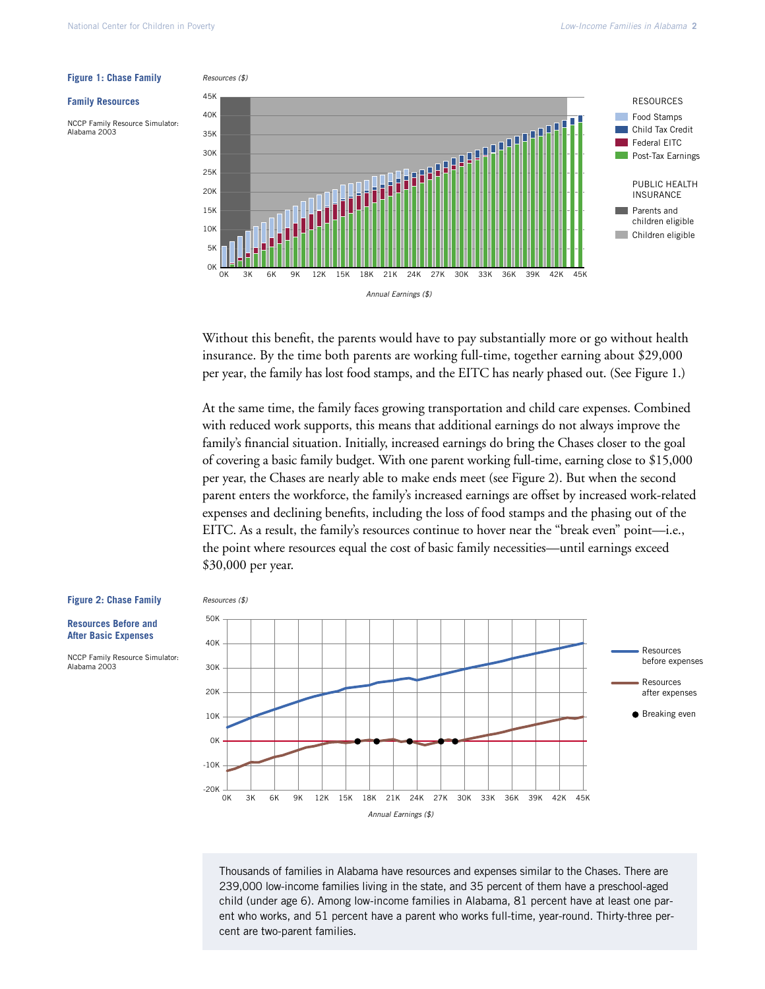### **Figure 1: Chase Family**

#### **Family Resources**

NCCP Family Resource Simulator: Alabama 2003



Without this benefit, the parents would have to pay substantially more or go without health insurance. By the time both parents are working full-time, together earning about \$29,000 per year, the family has lost food stamps, and the EITC has nearly phased out. (See Figure 1.)

At the same time, the family faces growing transportation and child care expenses. Combined with reduced work supports, this means that additional earnings do not always improve the family's financial situation. Initially, increased earnings do bring the Chases closer to the goal of covering a basic family budget. With one parent working full-time, earning close to \$15,000 per year, the Chases are nearly able to make ends meet (see Figure 2). But when the second parent enters the workforce, the family's increased earnings are offset by increased work-related expenses and declining benefits, including the loss of food stamps and the phasing out of the EITC. As a result, the family's resources continue to hover near the "break even" point—i.e., the point where resources equal the cost of basic family necessities—until earnings exceed \$30,000 per year.

#### **Figure 2: Chase Family**

**Resources Before and After Basic Expenses**

NCCP Family Resource Simulator: Alabama 2003





Thousands of families in Alabama have resources and expenses similar to the Chases. There are 239,000 low-income families living in the state, and 35 percent of them have a preschool-aged child (under age 6). Among low-income families in Alabama, 81 percent have at least one parent who works, and 51 percent have a parent who works full-time, year-round. Thirty-three percent are two-parent families.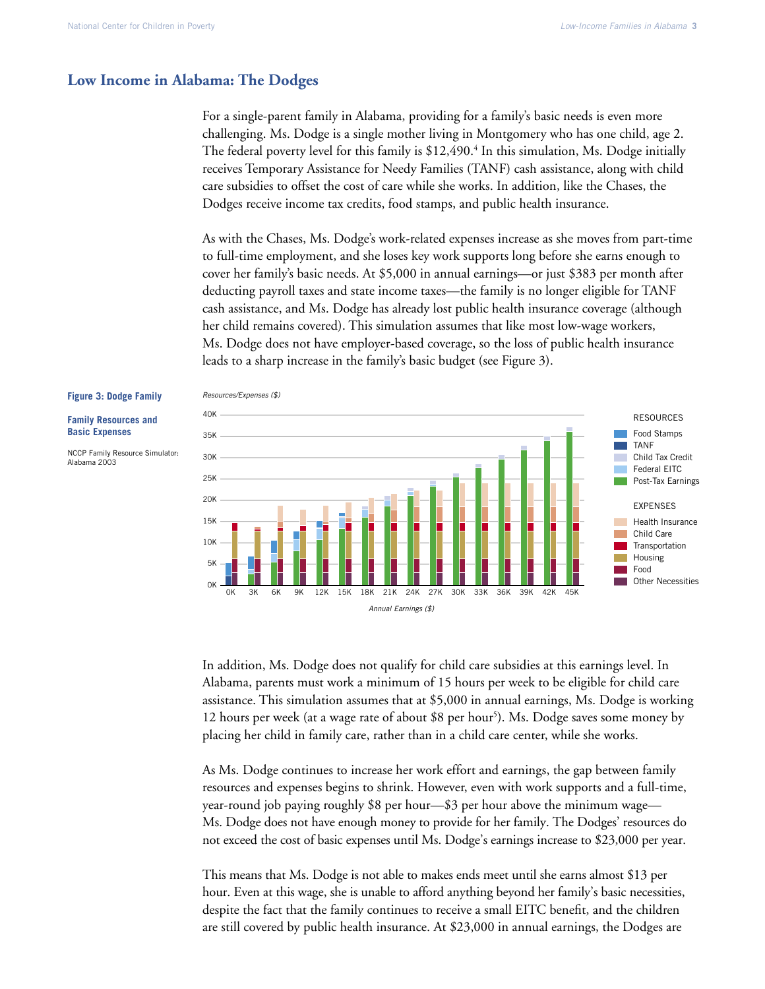## **Low Income in Alabama: The Dodges**

For a single-parent family in Alabama, providing for a family's basic needs is even more challenging. Ms. Dodge is a single mother living in Montgomery who has one child, age 2. The federal poverty level for this family is  $$12,490.<sup>4</sup>$  In this simulation, Ms. Dodge initially receives Temporary Assistance for Needy Families (TANF) cash assistance, along with child care subsidies to offset the cost of care while she works. In addition, like the Chases, the Dodges receive income tax credits, food stamps, and public health insurance.

As with the Chases, Ms. Dodge's work-related expenses increase as she moves from part-time to full-time employment, and she loses key work supports long before she earns enough to cover her family's basic needs. At \$5,000 in annual earnings—or just \$383 per month after deducting payroll taxes and state income taxes—the family is no longer eligible for TANF cash assistance, and Ms. Dodge has already lost public health insurance coverage (although her child remains covered). This simulation assumes that like most low-wage workers, Ms. Dodge does not have employer-based coverage, so the loss of public health insurance leads to a sharp increase in the family's basic budget (see Figure 3).

## **Figure 3: Dodge Family**

**Family Resources and Basic Expenses**

NCCP Family Resource Simulator: Alabama 2003



In addition, Ms. Dodge does not qualify for child care subsidies at this earnings level. In Alabama, parents must work a minimum of 15 hours per week to be eligible for child care assistance. This simulation assumes that at \$5,000 in annual earnings, Ms. Dodge is working 12 hours per week (at a wage rate of about \$8 per hour<sup>5</sup>). Ms. Dodge saves some money by placing her child in family care, rather than in a child care center, while she works.

As Ms. Dodge continues to increase her work effort and earnings, the gap between family resources and expenses begins to shrink. However, even with work supports and a full-time, year-round job paying roughly \$8 per hour—\$3 per hour above the minimum wage— Ms. Dodge does not have enough money to provide for her family. The Dodges' resources do not exceed the cost of basic expenses until Ms. Dodge's earnings increase to \$23,000 per year.

This means that Ms. Dodge is not able to makes ends meet until she earns almost \$13 per hour. Even at this wage, she is unable to afford anything beyond her family's basic necessities, despite the fact that the family continues to receive a small EITC benefit, and the children are still covered by public health insurance. At \$23,000 in annual earnings, the Dodges are